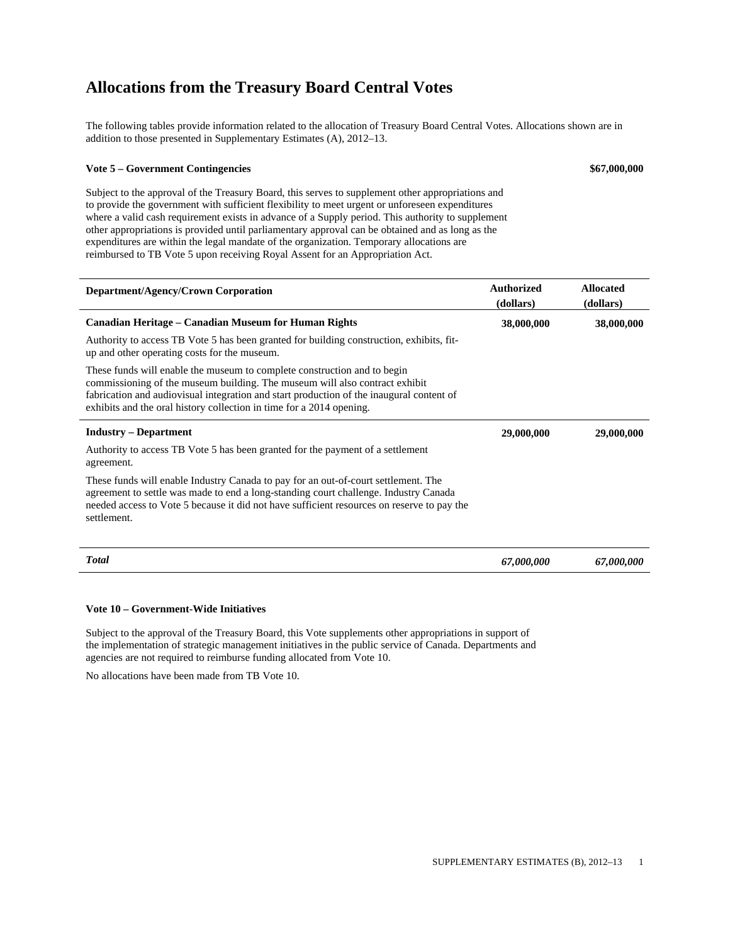The following tables provide information related to the allocation of Treasury Board Central Votes. Allocations shown are in addition to those presented in Supplementary Estimates (A), 2012–13.

#### **Vote 5 – Government Contingencies \$67,000,000**

Subject to the approval of the Treasury Board, this serves to supplement other appropriations and to provide the government with sufficient flexibility to meet urgent or unforeseen expenditures where a valid cash requirement exists in advance of a Supply period. This authority to supplement other appropriations is provided until parliamentary approval can be obtained and as long as the expenditures are within the legal mandate of the organization. Temporary allocations are reimbursed to TB Vote 5 upon receiving Royal Assent for an Appropriation Act.

| Department/Agency/Crown Corporation                                                                                                                                                                                                                                                                                         | <b>Authorized</b><br>(dollars) | <b>Allocated</b><br>(dollars) |
|-----------------------------------------------------------------------------------------------------------------------------------------------------------------------------------------------------------------------------------------------------------------------------------------------------------------------------|--------------------------------|-------------------------------|
| Canadian Heritage – Canadian Museum for Human Rights                                                                                                                                                                                                                                                                        | 38,000,000                     | 38,000,000                    |
| Authority to access TB Vote 5 has been granted for building construction, exhibits, fit-<br>up and other operating costs for the museum.                                                                                                                                                                                    |                                |                               |
| These funds will enable the museum to complete construction and to begin<br>commissioning of the museum building. The museum will also contract exhibit<br>fabrication and audiovisual integration and start production of the inaugural content of<br>exhibits and the oral history collection in time for a 2014 opening. |                                |                               |
| <b>Industry – Department</b>                                                                                                                                                                                                                                                                                                | 29,000,000                     | 29,000,000                    |
| Authority to access TB Vote 5 has been granted for the payment of a settlement<br>agreement.                                                                                                                                                                                                                                |                                |                               |
| These funds will enable Industry Canada to pay for an out-of-court settlement. The<br>agreement to settle was made to end a long-standing court challenge. Industry Canada<br>needed access to Vote 5 because it did not have sufficient resources on reserve to pay the<br>settlement.                                     |                                |                               |
| <b>Total</b>                                                                                                                                                                                                                                                                                                                | 67,000,000                     | 67,000,000                    |

#### **Vote 10 – Government-Wide Initiatives**

Subject to the approval of the Treasury Board, this Vote supplements other appropriations in support of the implementation of strategic management initiatives in the public service of Canada. Departments and agencies are not required to reimburse funding allocated from Vote 10.

No allocations have been made from TB Vote 10.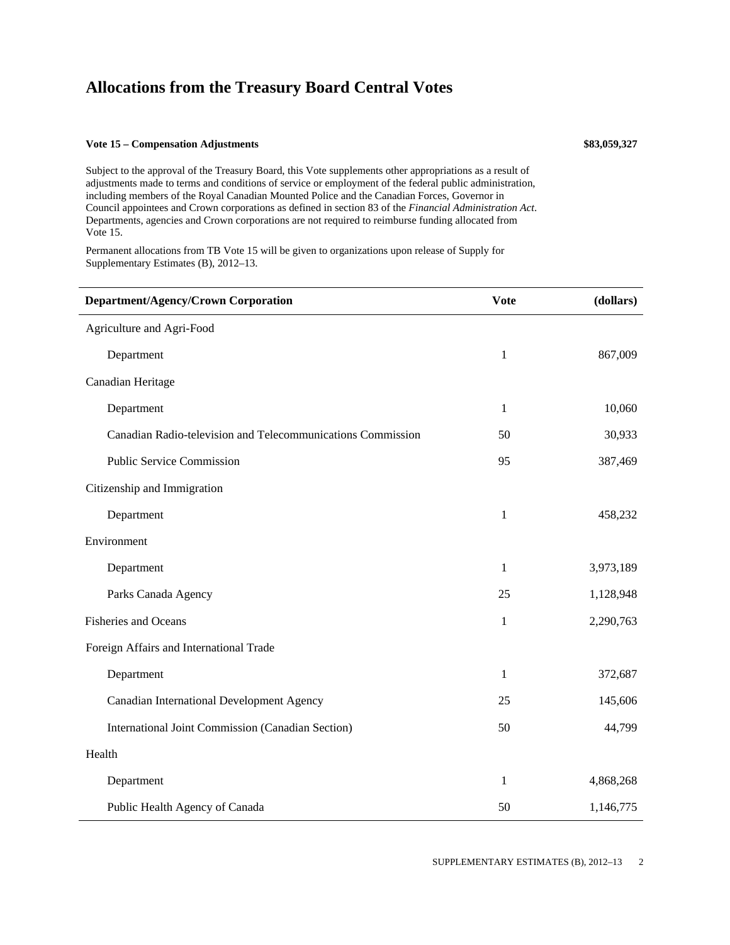#### **Vote 15 – Compensation Adjustments \$83,059,327**

Subject to the approval of the Treasury Board, this Vote supplements other appropriations as a result of adjustments made to terms and conditions of service or employment of the federal public administration, including members of the Royal Canadian Mounted Police and the Canadian Forces, Governor in Council appointees and Crown corporations as defined in section 83 of the *Financial Administration Act*. Departments, agencies and Crown corporations are not required to reimburse funding allocated from Vote 15.

Permanent allocations from TB Vote 15 will be given to organizations upon release of Supply for Supplementary Estimates (B), 2012–13.

| Department/Agency/Crown Corporation                         | <b>Vote</b>  | (dollars) |
|-------------------------------------------------------------|--------------|-----------|
| Agriculture and Agri-Food                                   |              |           |
| Department                                                  | 1            | 867,009   |
| Canadian Heritage                                           |              |           |
| Department                                                  | $\mathbf{1}$ | 10,060    |
| Canadian Radio-television and Telecommunications Commission | 50           | 30,933    |
| <b>Public Service Commission</b>                            | 95           | 387,469   |
| Citizenship and Immigration                                 |              |           |
| Department                                                  | $\mathbf{1}$ | 458,232   |
| Environment                                                 |              |           |
| Department                                                  | $\mathbf{1}$ | 3,973,189 |
| Parks Canada Agency                                         | 25           | 1,128,948 |
| <b>Fisheries and Oceans</b>                                 | 1            | 2,290,763 |
| Foreign Affairs and International Trade                     |              |           |
| Department                                                  | $\mathbf{1}$ | 372,687   |
| Canadian International Development Agency                   | 25           | 145,606   |
| International Joint Commission (Canadian Section)           | 50           | 44,799    |
| Health                                                      |              |           |
| Department                                                  | $\mathbf{1}$ | 4,868,268 |
| Public Health Agency of Canada                              | 50           | 1,146,775 |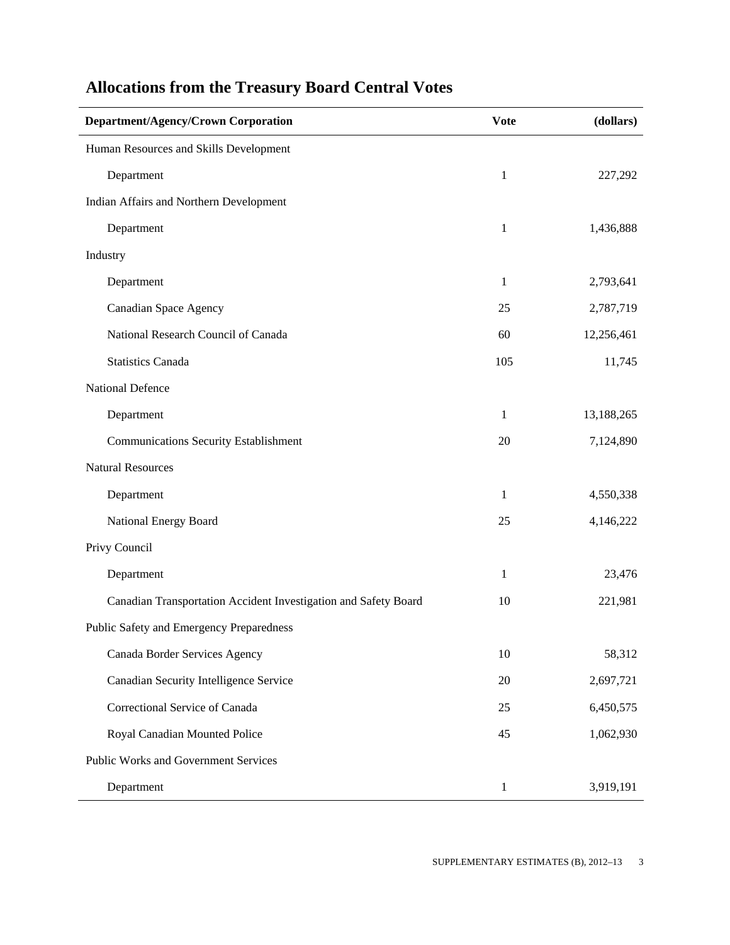| Department/Agency/Crown Corporation                             | <b>Vote</b>  | (dollars)  |
|-----------------------------------------------------------------|--------------|------------|
| Human Resources and Skills Development                          |              |            |
| Department                                                      | $\mathbf{1}$ | 227,292    |
| Indian Affairs and Northern Development                         |              |            |
| Department                                                      | 1            | 1,436,888  |
| Industry                                                        |              |            |
| Department                                                      | 1            | 2,793,641  |
| <b>Canadian Space Agency</b>                                    | 25           | 2,787,719  |
| National Research Council of Canada                             | 60           | 12,256,461 |
| <b>Statistics Canada</b>                                        | 105          | 11,745     |
| National Defence                                                |              |            |
| Department                                                      | 1            | 13,188,265 |
| <b>Communications Security Establishment</b>                    | 20           | 7,124,890  |
| <b>Natural Resources</b>                                        |              |            |
| Department                                                      | 1            | 4,550,338  |
| National Energy Board                                           | 25           | 4,146,222  |
| Privy Council                                                   |              |            |
| Department                                                      | 1            | 23,476     |
| Canadian Transportation Accident Investigation and Safety Board | 10           | 221,981    |
| Public Safety and Emergency Preparedness                        |              |            |
| Canada Border Services Agency                                   | 10           | 58,312     |
| Canadian Security Intelligence Service                          | $20\,$       | 2,697,721  |
| Correctional Service of Canada                                  | 25           | 6,450,575  |
| Royal Canadian Mounted Police                                   | 45           | 1,062,930  |
| Public Works and Government Services                            |              |            |
| Department                                                      | $\mathbf{1}$ | 3,919,191  |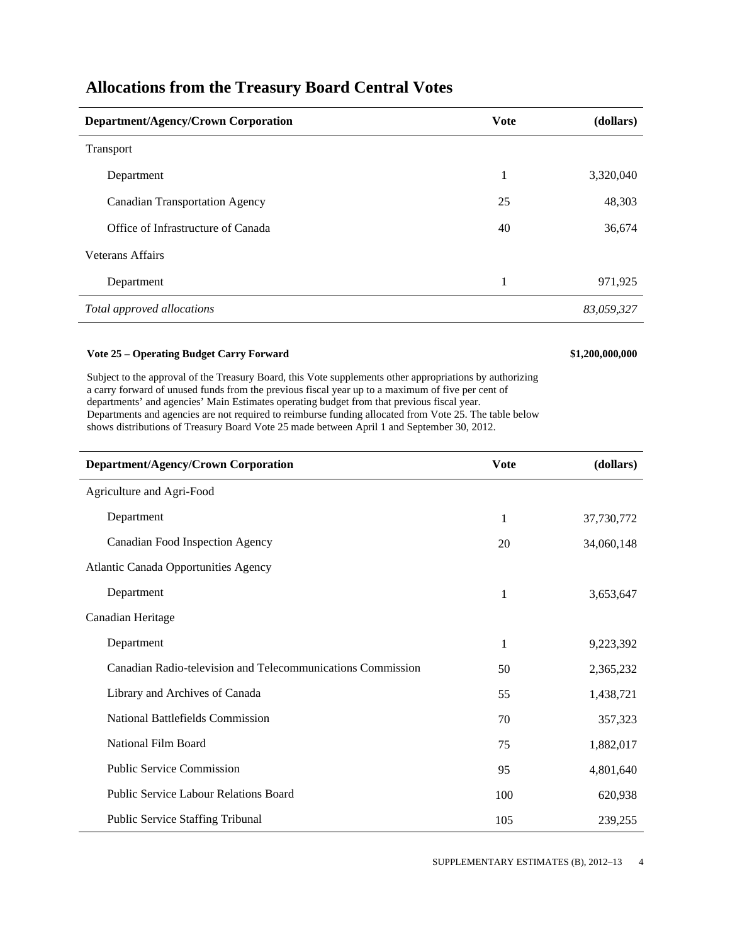| Department/Agency/Crown Corporation   | <b>V</b> ote | (dollars)  |
|---------------------------------------|--------------|------------|
| Transport                             |              |            |
| Department                            | 1            | 3,320,040  |
| <b>Canadian Transportation Agency</b> | 25           | 48,303     |
| Office of Infrastructure of Canada    | 40           | 36,674     |
| <b>Veterans Affairs</b>               |              |            |
| Department                            | 1            | 971,925    |
| Total approved allocations            |              | 83,059,327 |

#### **Vote 25 – Operating Budget Carry Forward \$1,200,000,000**

Subject to the approval of the Treasury Board, this Vote supplements other appropriations by authorizing a carry forward of unused funds from the previous fiscal year up to a maximum of five per cent of departments' and agencies' Main Estimates operating budget from that previous fiscal year. Departments and agencies are not required to reimburse funding allocated from Vote 25. The table below shows distributions of Treasury Board Vote 25 made between April 1 and September 30, 2012.

| Department/Agency/Crown Corporation                         | <b>Vote</b>  | (dollars)  |
|-------------------------------------------------------------|--------------|------------|
| Agriculture and Agri-Food                                   |              |            |
| Department                                                  | 1            | 37,730,772 |
| Canadian Food Inspection Agency                             | 20           | 34,060,148 |
| <b>Atlantic Canada Opportunities Agency</b>                 |              |            |
| Department                                                  | $\mathbf{1}$ | 3,653,647  |
| Canadian Heritage                                           |              |            |
| Department                                                  | 1            | 9,223,392  |
| Canadian Radio-television and Telecommunications Commission | 50           | 2,365,232  |
| Library and Archives of Canada                              | 55           | 1,438,721  |
| National Battlefields Commission                            | 70           | 357,323    |
| National Film Board                                         | 75           | 1,882,017  |
| <b>Public Service Commission</b>                            | 95           | 4,801,640  |
| Public Service Labour Relations Board                       | 100          | 620,938    |
| <b>Public Service Staffing Tribunal</b>                     | 105          | 239,255    |

SUPPLEMENTARY ESTIMATES (B), 2012–13 4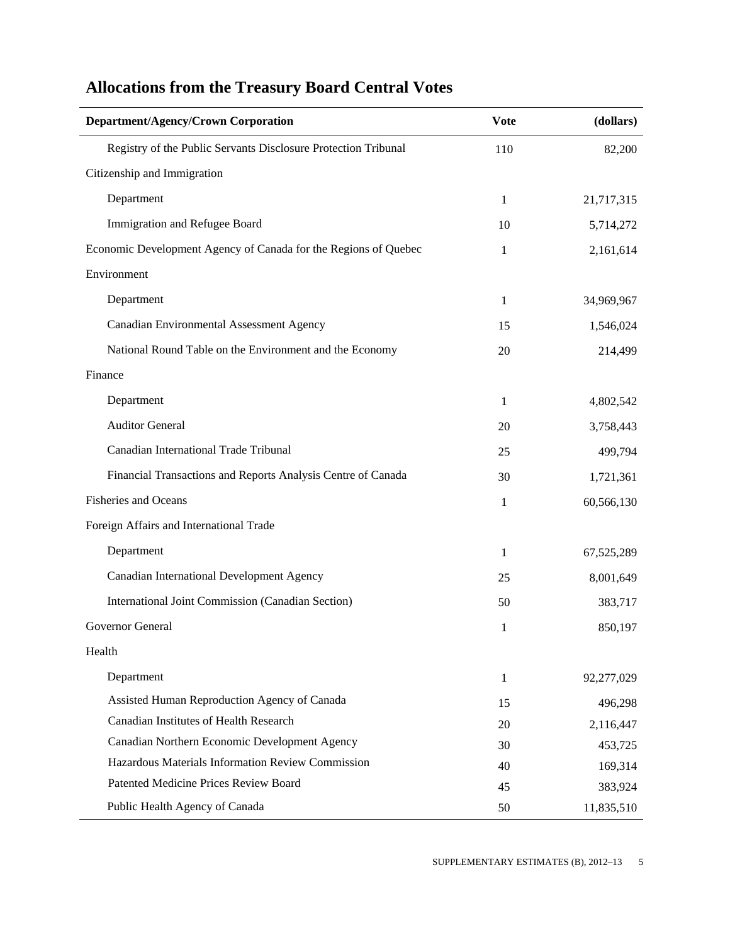| <b>Department/Agency/Crown Corporation</b>                      | <b>Vote</b> | (dollars)  |
|-----------------------------------------------------------------|-------------|------------|
| Registry of the Public Servants Disclosure Protection Tribunal  | 110         | 82,200     |
| Citizenship and Immigration                                     |             |            |
| Department                                                      | 1           | 21,717,315 |
| Immigration and Refugee Board                                   | 10          | 5,714,272  |
| Economic Development Agency of Canada for the Regions of Quebec | 1           | 2,161,614  |
| Environment                                                     |             |            |
| Department                                                      | 1           | 34,969,967 |
| Canadian Environmental Assessment Agency                        | 15          | 1,546,024  |
| National Round Table on the Environment and the Economy         | 20          | 214,499    |
| Finance                                                         |             |            |
| Department                                                      | 1           | 4,802,542  |
| <b>Auditor General</b>                                          | 20          | 3,758,443  |
| Canadian International Trade Tribunal                           | 25          | 499,794    |
| Financial Transactions and Reports Analysis Centre of Canada    | 30          | 1,721,361  |
| <b>Fisheries and Oceans</b>                                     | 1           | 60,566,130 |
| Foreign Affairs and International Trade                         |             |            |
|                                                                 |             |            |
| Department                                                      | 1           | 67,525,289 |
| Canadian International Development Agency                       | 25          | 8,001,649  |
| International Joint Commission (Canadian Section)               | 50          | 383,717    |
| Governor General                                                | 1           | 850,197    |
| Health                                                          |             |            |
| Department                                                      | 1           | 92,277,029 |
| Assisted Human Reproduction Agency of Canada                    | 15          | 496,298    |
| Canadian Institutes of Health Research                          | 20          | 2,116,447  |
| Canadian Northern Economic Development Agency                   | 30          | 453,725    |
| Hazardous Materials Information Review Commission               | 40          | 169,314    |
| Patented Medicine Prices Review Board                           | 45          | 383,924    |
| Public Health Agency of Canada                                  | 50          | 11,835,510 |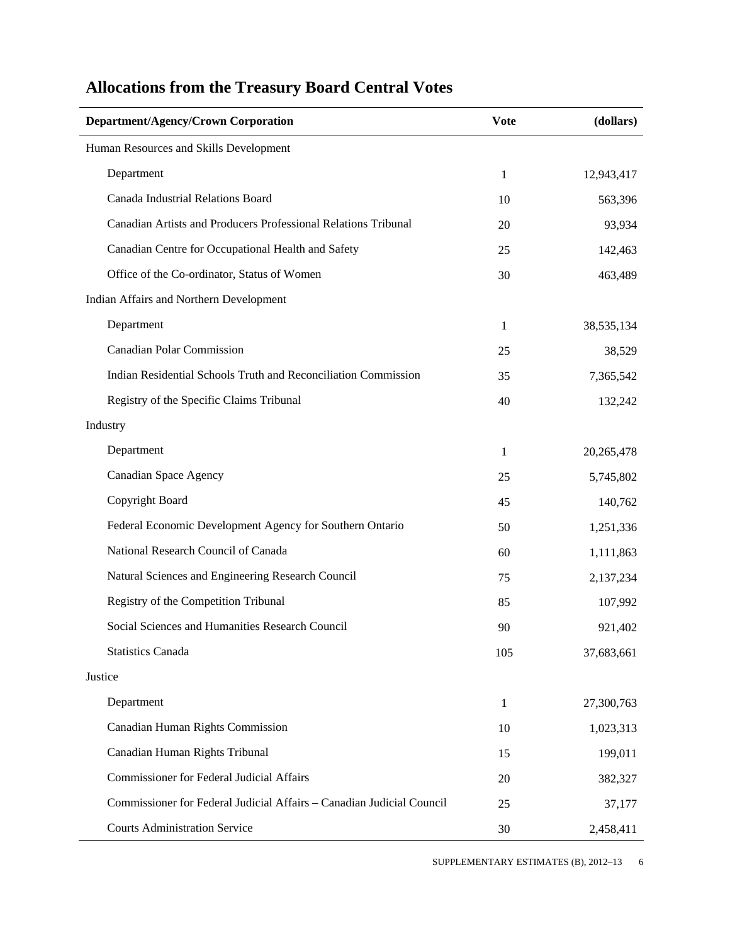| <b>Department/Agency/Crown Corporation</b>                            | <b>Vote</b>  | (dollars)  |
|-----------------------------------------------------------------------|--------------|------------|
| Human Resources and Skills Development                                |              |            |
| Department                                                            | 1            | 12,943,417 |
| Canada Industrial Relations Board                                     | 10           | 563,396    |
| Canadian Artists and Producers Professional Relations Tribunal        | 20           | 93,934     |
| Canadian Centre for Occupational Health and Safety                    | 25           | 142,463    |
| Office of the Co-ordinator, Status of Women                           | 30           | 463,489    |
| Indian Affairs and Northern Development                               |              |            |
| Department                                                            | 1            | 38,535,134 |
| <b>Canadian Polar Commission</b>                                      | 25           | 38,529     |
| Indian Residential Schools Truth and Reconciliation Commission        | 35           | 7,365,542  |
| Registry of the Specific Claims Tribunal                              | 40           | 132,242    |
| Industry                                                              |              |            |
| Department                                                            | 1            | 20,265,478 |
| <b>Canadian Space Agency</b>                                          | 25           | 5,745,802  |
| Copyright Board                                                       | 45           | 140,762    |
| Federal Economic Development Agency for Southern Ontario              | 50           | 1,251,336  |
| National Research Council of Canada                                   | 60           | 1,111,863  |
| Natural Sciences and Engineering Research Council                     | 75           | 2,137,234  |
| Registry of the Competition Tribunal                                  | 85           | 107,992    |
| Social Sciences and Humanities Research Council                       | 90           | 921,402    |
| <b>Statistics Canada</b>                                              | 105          | 37,683,661 |
| Justice                                                               |              |            |
| Department                                                            | $\mathbf{1}$ | 27,300,763 |
| Canadian Human Rights Commission                                      | 10           | 1,023,313  |
| Canadian Human Rights Tribunal                                        | 15           | 199,011    |
| <b>Commissioner for Federal Judicial Affairs</b>                      | 20           | 382,327    |
| Commissioner for Federal Judicial Affairs - Canadian Judicial Council | 25           | 37,177     |
| <b>Courts Administration Service</b>                                  | 30           | 2,458,411  |

SUPPLEMENTARY ESTIMATES (B), 2012-13 6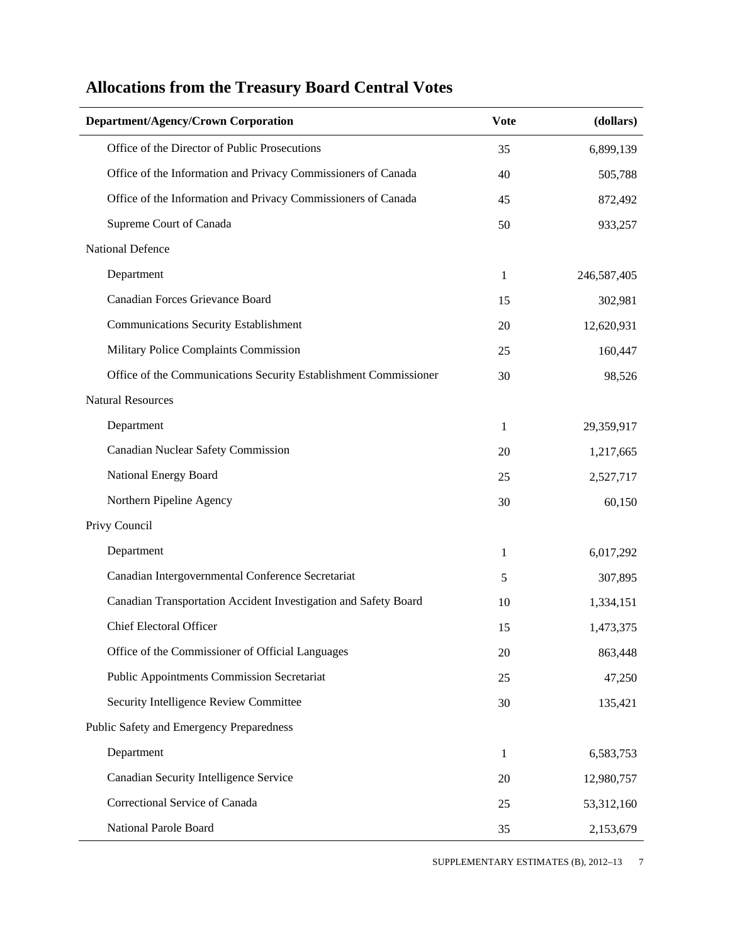| Department/Agency/Crown Corporation                              | <b>Vote</b> | (dollars)   |
|------------------------------------------------------------------|-------------|-------------|
| Office of the Director of Public Prosecutions                    | 35          | 6,899,139   |
| Office of the Information and Privacy Commissioners of Canada    | 40          | 505,788     |
| Office of the Information and Privacy Commissioners of Canada    | 45          | 872,492     |
| Supreme Court of Canada                                          | 50          | 933,257     |
| <b>National Defence</b>                                          |             |             |
| Department                                                       | 1           | 246,587,405 |
| Canadian Forces Grievance Board                                  | 15          | 302,981     |
| <b>Communications Security Establishment</b>                     | 20          | 12,620,931  |
| Military Police Complaints Commission                            | 25          | 160,447     |
| Office of the Communications Security Establishment Commissioner | 30          | 98,526      |
| <b>Natural Resources</b>                                         |             |             |
| Department                                                       | 1           | 29,359,917  |
| Canadian Nuclear Safety Commission                               | 20          | 1,217,665   |
| National Energy Board                                            | 25          | 2,527,717   |
| Northern Pipeline Agency                                         | 30          | 60,150      |
| Privy Council                                                    |             |             |
| Department                                                       | 1           | 6,017,292   |
| Canadian Intergovernmental Conference Secretariat                | 5           | 307,895     |
| Canadian Transportation Accident Investigation and Safety Board  | 10          | 1,334,151   |
| Chief Electoral Officer                                          | 15          | 1,473,375   |
| Office of the Commissioner of Official Languages                 | 20          | 863,448     |
| <b>Public Appointments Commission Secretariat</b>                | 25          | 47,250      |
| Security Intelligence Review Committee                           | 30          | 135,421     |
| Public Safety and Emergency Preparedness                         |             |             |
| Department                                                       | 1           | 6,583,753   |
| Canadian Security Intelligence Service                           | 20          | 12,980,757  |
| Correctional Service of Canada                                   | 25          | 53,312,160  |
| National Parole Board                                            | 35          | 2,153,679   |

SUPPLEMENTARY ESTIMATES (B), 2012-13 7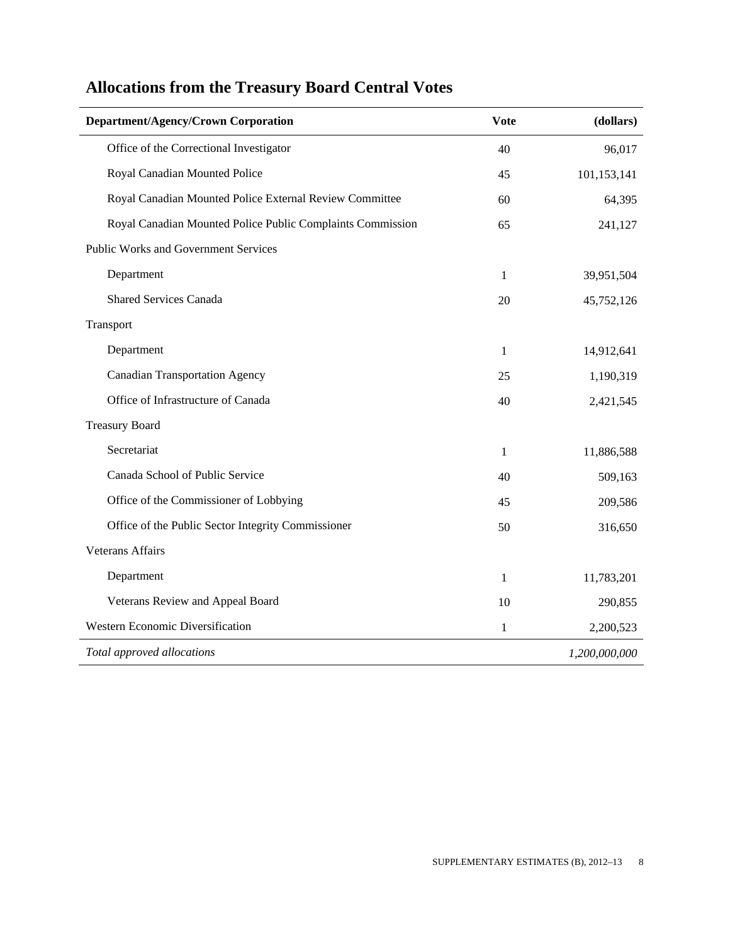| <b>Department/Agency/Crown Corporation</b>                 | <b>Vote</b>  | (dollars)     |
|------------------------------------------------------------|--------------|---------------|
| Office of the Correctional Investigator                    | 40           | 96,017        |
| Royal Canadian Mounted Police                              | 45           | 101,153,141   |
| Royal Canadian Mounted Police External Review Committee    | 60           | 64,395        |
| Royal Canadian Mounted Police Public Complaints Commission | 65           | 241,127       |
| <b>Public Works and Government Services</b>                |              |               |
| Department                                                 | 1            | 39,951,504    |
| <b>Shared Services Canada</b>                              | 20           | 45,752,126    |
| Transport                                                  |              |               |
| Department                                                 | $\mathbf{1}$ | 14,912,641    |
| <b>Canadian Transportation Agency</b>                      | 25           | 1,190,319     |
| Office of Infrastructure of Canada                         | 40           | 2,421,545     |
| <b>Treasury Board</b>                                      |              |               |
| Secretariat                                                | 1            | 11,886,588    |
| Canada School of Public Service                            | 40           | 509,163       |
| Office of the Commissioner of Lobbying                     | 45           | 209,586       |
| Office of the Public Sector Integrity Commissioner         | 50           | 316,650       |
| <b>Veterans Affairs</b>                                    |              |               |
| Department                                                 | $\mathbf{1}$ | 11,783,201    |
| Veterans Review and Appeal Board                           | 10           | 290,855       |
| Western Economic Diversification                           | $\mathbf{1}$ | 2,200,523     |
| Total approved allocations                                 |              | 1,200,000,000 |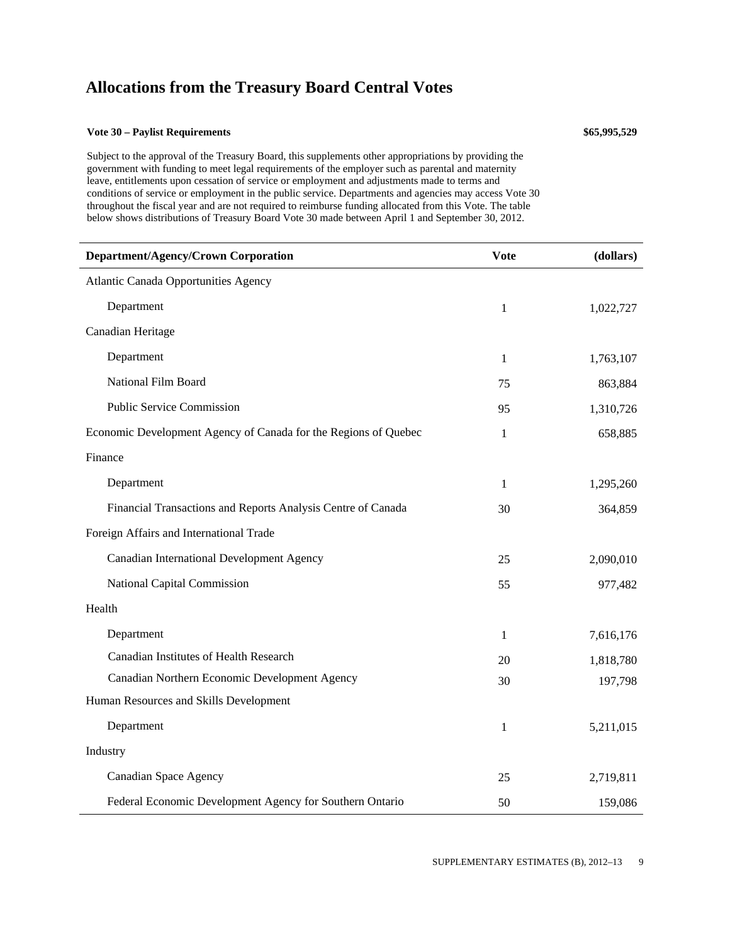#### **Vote 30 – Paylist Requirements \$65,995,529**

Subject to the approval of the Treasury Board, this supplements other appropriations by providing the government with funding to meet legal requirements of the employer such as parental and maternity leave, entitlements upon cessation of service or employment and adjustments made to terms and conditions of service or employment in the public service. Departments and agencies may access Vote 30 throughout the fiscal year and are not required to reimburse funding allocated from this Vote. The table

below shows distributions of Treasury Board Vote 30 made between April 1 and September 30, 2012.

| Department/Agency/Crown Corporation                             | <b>Vote</b>  | (dollars) |
|-----------------------------------------------------------------|--------------|-----------|
| Atlantic Canada Opportunities Agency                            |              |           |
| Department                                                      | $\mathbf{1}$ | 1,022,727 |
| Canadian Heritage                                               |              |           |
| Department                                                      | 1            | 1,763,107 |
| National Film Board                                             | 75           | 863,884   |
| <b>Public Service Commission</b>                                | 95           | 1,310,726 |
| Economic Development Agency of Canada for the Regions of Quebec | 1            | 658,885   |
| Finance                                                         |              |           |
| Department                                                      | 1            | 1,295,260 |
| Financial Transactions and Reports Analysis Centre of Canada    | 30           | 364,859   |
| Foreign Affairs and International Trade                         |              |           |
| Canadian International Development Agency                       | 25           | 2,090,010 |
| National Capital Commission                                     | 55           | 977,482   |
| Health                                                          |              |           |
| Department                                                      | 1            | 7,616,176 |
| <b>Canadian Institutes of Health Research</b>                   | 20           | 1,818,780 |
| Canadian Northern Economic Development Agency                   | 30           | 197,798   |
| Human Resources and Skills Development                          |              |           |
| Department                                                      | $\mathbf{1}$ | 5,211,015 |
| Industry                                                        |              |           |
| Canadian Space Agency                                           | 25           | 2,719,811 |
| Federal Economic Development Agency for Southern Ontario        | 50           | 159,086   |

SUPPLEMENTARY ESTIMATES (B), 2012-13 9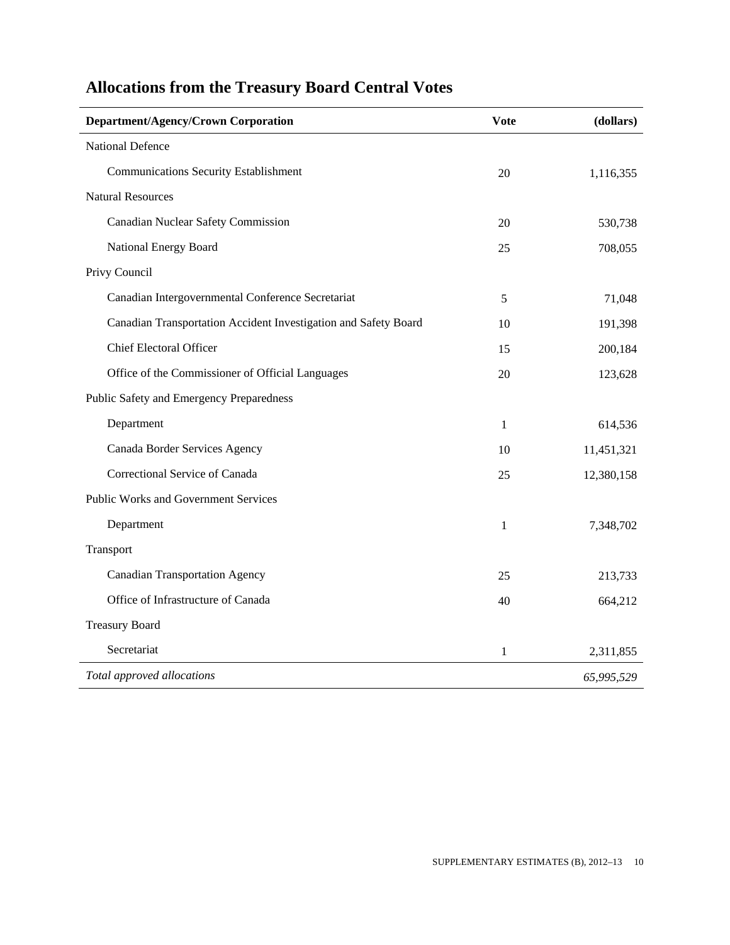| Department/Agency/Crown Corporation                             | <b>Vote</b>  | (dollars)  |
|-----------------------------------------------------------------|--------------|------------|
| National Defence                                                |              |            |
| <b>Communications Security Establishment</b>                    | 20           | 1,116,355  |
| <b>Natural Resources</b>                                        |              |            |
| Canadian Nuclear Safety Commission                              | 20           | 530,738    |
| National Energy Board                                           | 25           | 708,055    |
| Privy Council                                                   |              |            |
| Canadian Intergovernmental Conference Secretariat               | 5            | 71,048     |
| Canadian Transportation Accident Investigation and Safety Board | 10           | 191,398    |
| <b>Chief Electoral Officer</b>                                  | 15           | 200,184    |
| Office of the Commissioner of Official Languages                | 20           | 123,628    |
| Public Safety and Emergency Preparedness                        |              |            |
| Department                                                      | 1            | 614,536    |
| Canada Border Services Agency                                   | 10           | 11,451,321 |
| Correctional Service of Canada                                  | 25           | 12,380,158 |
| <b>Public Works and Government Services</b>                     |              |            |
| Department                                                      | $\mathbf{1}$ | 7,348,702  |
| Transport                                                       |              |            |
| <b>Canadian Transportation Agency</b>                           | 25           | 213,733    |
| Office of Infrastructure of Canada                              | 40           | 664,212    |
| <b>Treasury Board</b>                                           |              |            |
| Secretariat                                                     | $\mathbf{1}$ | 2,311,855  |
| Total approved allocations                                      |              | 65,995,529 |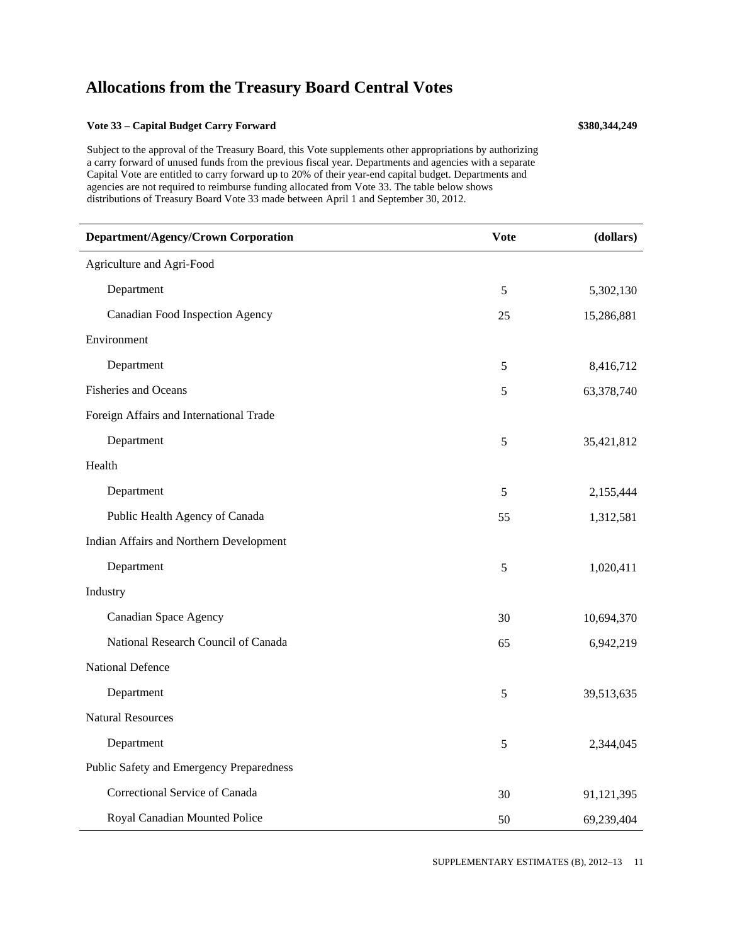#### **Vote 33 – Capital Budget Carry Forward \$380,344,249**

Subject to the approval of the Treasury Board, this Vote supplements other appropriations by authorizing a carry forward of unused funds from the previous fiscal year. Departments and agencies with a separate Capital Vote are entitled to carry forward up to 20% of their year-end capital budget. Departments and agencies are not required to reimburse funding allocated from Vote 33. The table below shows distributions of Treasury Board Vote 33 made between April 1 and September 30, 2012.

| Department/Agency/Crown Corporation      | <b>Vote</b> | (dollars)  |
|------------------------------------------|-------------|------------|
| Agriculture and Agri-Food                |             |            |
| Department                               | 5           | 5,302,130  |
| <b>Canadian Food Inspection Agency</b>   | 25          | 15,286,881 |
| Environment                              |             |            |
| Department                               | 5           | 8,416,712  |
| <b>Fisheries and Oceans</b>              | 5           | 63,378,740 |
| Foreign Affairs and International Trade  |             |            |
| Department                               | 5           | 35,421,812 |
| Health                                   |             |            |
| Department                               | 5           | 2,155,444  |
| Public Health Agency of Canada           | 55          | 1,312,581  |
| Indian Affairs and Northern Development  |             |            |
| Department                               | 5           | 1,020,411  |
| Industry                                 |             |            |
| Canadian Space Agency                    | 30          | 10,694,370 |
| National Research Council of Canada      | 65          | 6,942,219  |
| <b>National Defence</b>                  |             |            |
| Department                               | 5           | 39,513,635 |
| <b>Natural Resources</b>                 |             |            |
| Department                               | 5           | 2,344,045  |
| Public Safety and Emergency Preparedness |             |            |
| Correctional Service of Canada           | 30          | 91,121,395 |
| Royal Canadian Mounted Police            | 50          | 69,239,404 |

SUPPLEMENTARY ESTIMATES (B), 2012–13 11